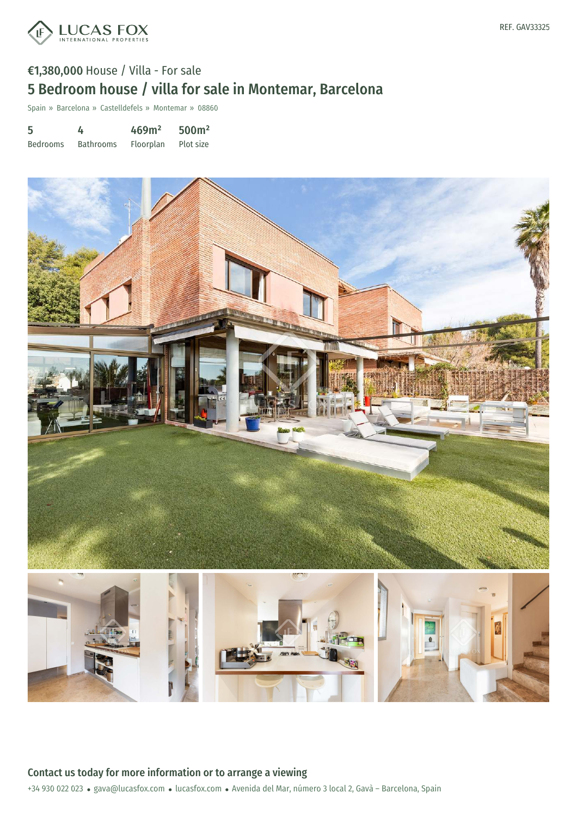

# €1,380,000 House / Villa - For sale 5 Bedroom house / villa for sale in Montemar, Barcelona

Spain » Barcelona » Castelldefels » Montemar » 08860

| 5               | 4                | 469m <sup>2</sup> | 500 <sup>m²</sup> |
|-----------------|------------------|-------------------|-------------------|
| <b>Bedrooms</b> | <b>Bathrooms</b> | Floorplan         | Plot size         |

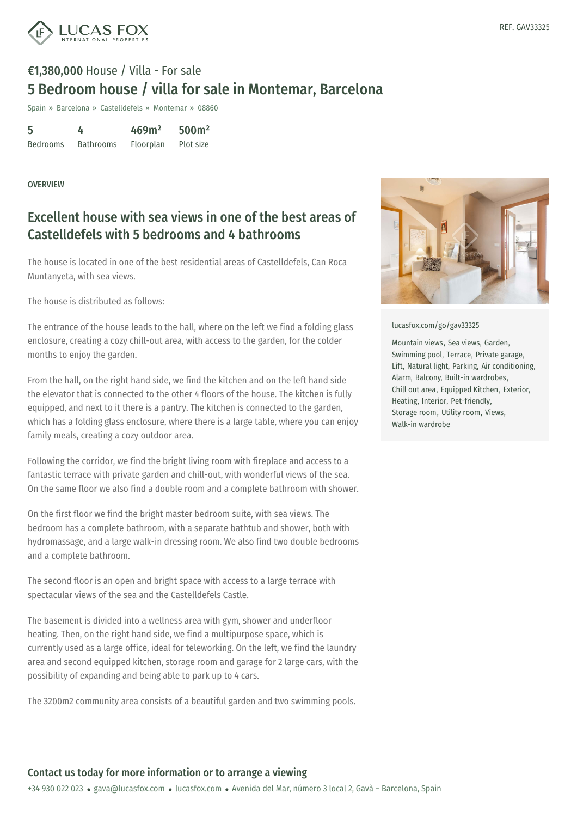

# €1,380,000 House / Villa - For sale 5 Bedroom house / villa for sale in Montemar, Barcelona

Spain » Barcelona » Castelldefels » Montemar » 08860

| 5               | 4                | 469m <sup>2</sup> | 500 <sup>m²</sup> |
|-----------------|------------------|-------------------|-------------------|
| <b>Bedrooms</b> | <b>Bathrooms</b> | Floorplan         | Plot size         |

#### **OVERVIEW**

### Excellent house with sea views in one of the best areas of Castelldefels with 5 bedrooms and 4 bathrooms

The house is located in one of the best residential areas of Castelldefels, Can Roca Muntanyeta, with sea views.

The house is distributed as follows:

The entrance of the house leads to the hall, where on the left we find a folding glass enclosure, creating a cozy chill-out area, with access to the garden, for the colder months to enjoy the garden.

From the hall, on the right hand side, we find the kitchen and on the left hand side the elevator that is connected to the other 4 floors of the house. The kitchen is fully equipped, and next to it there is a pantry. The kitchen is connected to the garden, which has a folding glass enclosure, where there is a large table, where you can enjoy family meals, creating a cozy outdoor area.

Following the corridor, we find the bright living room with fireplace and access to a fantastic terrace with private garden and chill-out, with wonderful views of the sea. On the same floor we also find a double room and a complete bathroom with shower.

On the first floor we find the bright master bedroom suite, with sea views. The bedroom has a complete bathroom, with a separate bathtub and shower, both with hydromassage, and a large walk-in dressing room. We also find two double bedrooms and a complete bathroom.

The second floor is an open and bright space with access to a large terrace with spectacular views of the sea and the Castelldefels Castle.

The basement is [divided](mailto:gava@lucasfox.com) into a wellness [area](https://www.lucasfox.com) with gym, shower and underfloor heating. Then, on the right hand side, we find a multipurpose space, which is currently used as a large office, ideal for teleworking. On the left, we find the laundry area and second equipped kitchen, storage room and garage for 2 large cars, with the possibility of expanding and being able to park up to 4 cars.

The 3200m2 community area consists of a beautiful garden and two swimming pools.



[lucasfox.com/go/gav33325](https://www.lucasfox.com/go/gav33325)

Mountain views, Sea views, Garden, Swimming pool, Terrace, Private garage, Lift, Natural light, Parking, Air conditioning, Alarm, Balcony, Built-in wardrobes, Chill out area, Equipped Kitchen, Exterior, Heating, Interior, Pet-friendly, Storage room, Utility room, Views, Walk-in wardrobe